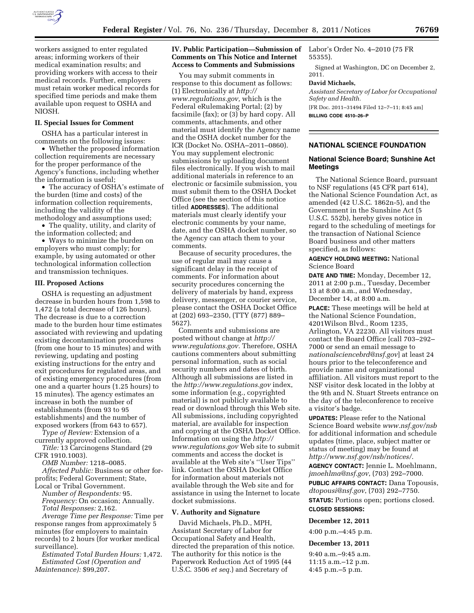

workers assigned to enter regulated areas; informing workers of their medical examination results; and providing workers with access to their medical records. Further, employers must retain worker medical records for specified time periods and make them available upon request to OSHA and NIOSH.

### **II. Special Issues for Comment**

OSHA has a particular interest in comments on the following issues:

• Whether the proposed information collection requirements are necessary for the proper performance of the Agency's functions, including whether the information is useful;

• The accuracy of OSHA's estimate of the burden (time and costs) of the information collection requirements, including the validity of the methodology and assumptions used;

• The quality, utility, and clarity of the information collected; and

• Ways to minimize the burden on employers who must comply; for example, by using automated or other technological information collection and transmission techniques.

### **III. Proposed Actions**

OSHA is requesting an adjustment decrease in burden hours from 1,598 to 1,472 (a total decrease of 126 hours). The decrease is due to a correction made to the burden hour time estimates associated with reviewing and updating existing decontamination procedures (from one hour to 15 minutes) and with reviewing, updating and posting existing instructions for the entry and exit procedures for regulated areas, and of existing emergency procedures (from one and a quarter hours (1.25 hours) to 15 minutes). The agency estimates an increase in both the number of establishments (from 93 to 95 establishments) and the number of exposed workers (from 643 to 657).

*Type of Review:* Extension of a currently approved collection.

*Title:* 13 Carcinogens Standard (29 CFR 1910.1003).

*OMB Number:* 1218–0085.

*Affected Public:* Business or other forprofits; Federal Government; State, Local or Tribal Government.

*Number of Respondents:* 95. *Frequency:* On occasion; Annually. *Total Responses:* 2,162.

*Average Time per Response:* Time per response ranges from approximately 5 minutes (for employers to maintain records) to 2 hours (for worker medical surveillance).

*Estimated Total Burden Hours:* 1,472. *Estimated Cost (Operation and Maintenance):* \$99,207.

## **IV. Public Participation—Submission of**  Labor's Order No. 4–2010 (75 FR **Comments on This Notice and Internet Access to Comments and Submissions**

You may submit comments in response to this document as follows: (1) Electronically at *[http://](http://www.regulations.gov)  [www.regulations.gov,](http://www.regulations.gov)* which is the Federal eRulemaking Portal; (2) by facsimile (fax); or (3) by hard copy. All comments, attachments, and other material must identify the Agency name and the OSHA docket number for the ICR (Docket No. OSHA–2011–0860). You may supplement electronic submissions by uploading document files electronically. If you wish to mail additional materials in reference to an electronic or facsimile submission, you must submit them to the OSHA Docket Office (see the section of this notice titled **ADDRESSES**). The additional materials must clearly identify your electronic comments by your name, date, and the OSHA docket number, so the Agency can attach them to your comments.

Because of security procedures, the use of regular mail may cause a significant delay in the receipt of comments. For information about security procedures concerning the delivery of materials by hand, express delivery, messenger, or courier service, please contact the OSHA Docket Office at (202) 693–2350, (TTY (877) 889– 5627).

Comments and submissions are posted without change at *[http://](http://www.regulations.gov)  [www.regulations.gov.](http://www.regulations.gov)* Therefore, OSHA cautions commenters about submitting personal information, such as social security numbers and dates of birth. Although all submissions are listed in the *<http://www.regulations.gov>*index, some information (e.g., copyrighted material) is not publicly available to read or download through this Web site. All submissions, including copyrighted material, are available for inspection and copying at the OSHA Docket Office. Information on using the *[http://](http://www.regulations.gov) [www.regulations.gov](http://www.regulations.gov)* Web site to submit comments and access the docket is available at the Web site's ''User Tips'' link. Contact the OSHA Docket Office for information about materials not available through the Web site and for assistance in using the Internet to locate docket submissions.

## **V. Authority and Signature**

David Michaels, Ph.D., MPH, Assistant Secretary of Labor for Occupational Safety and Health, directed the preparation of this notice. The authority for this notice is the Paperwork Reduction Act of 1995 (44 U.S.C. 3506 *et seq.*) and Secretary of

55355).

Signed at Washington, DC on December 2, 2011.

### **David Michaels,**

*Assistant Secretary of Labor for Occupational Safety and Health.*  [FR Doc. 2011–31494 Filed 12–7–11; 8:45 am]

**BILLING CODE 4510–26–P** 

## **NATIONAL SCIENCE FOUNDATION**

## **National Science Board; Sunshine Act Meetings**

The National Science Board, pursuant to NSF regulations (45 CFR part 614), the National Science Foundation Act, as amended (42 U.S.C. 1862n-5), and the Government in the Sunshine Act (5 U.S.C. 552b), hereby gives notice in regard to the scheduling of meetings for the transaction of National Science Board business and other matters specified, as follows:

**AGENCY HOLDING MEETING:** National Science Board

**DATE AND TIME:** Monday, December 12, 2011 at 2:00 p.m., Tuesday, December 13 at 8:00 a.m., and Wednesday, December 14, at 8:00 a.m.

**PLACE:** These meetings will be held at the National Science Foundation, 4201Wilson Blvd., Room 1235, Arlington, VA 22230. All visitors must contact the Board Office [call 703–292– 7000 or send an email message to *[nationalsciencebrd@nsf.gov](mailto:nationalsciencebrd@nsf.gov)*] at least 24 hours prior to the teleconference and provide name and organizational affiliation. All visitors must report to the NSF visitor desk located in the lobby at the 9th and N. Stuart Streets entrance on the day of the teleconference to receive a visitor's badge.

**UPDATES:** Please refer to the National Science Board website *[www.nsf.gov/nsb](http://www.nsf.gov/nsb)*  for additional information and schedule updates (time, place, subject matter or status of meeting) may be found at *<http://www.nsf.gov/nsb/notices/>*.

**AGENCY CONTACT:** Jennie L. Moehlmann, *[jmoehlma@nsf.gov](mailto:jmoehlma@nsf.gov)*, (703) 292–7000.

**PUBLIC AFFAIRS CONTACT:** Dana Topousis, *[dtopousi@nsf.gov](mailto:dtopousi@nsf.gov)*, (703) 292–7750. **STATUS:** Portions open; portions closed.

**CLOSED SESSIONS:** 

#### **December 12, 2011**

4:00 p.m.–4:45 p.m.

## **December 13, 2011**

9:40 a.m.–9:45 a.m. 11:15 a.m.–12 p.m. 4:45 p.m.–5 p.m.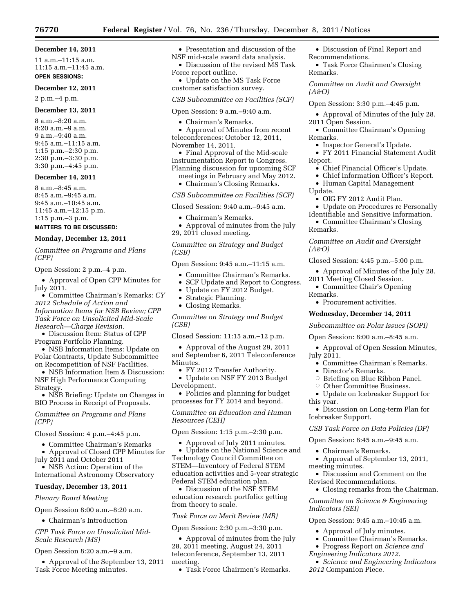## **76770 Federal Register** / Vol. 76, No. 236 / Thursday, December 8, 2011 / Notices

## **December 14, 2011**

11 a.m.–11:15 a.m. 11:15 a.m.–11:45 a.m.

# **OPEN SESSIONS:**

**December 12, 2011** 

## 2 p.m.–4 p.m.

## **December 13, 2011**

8 a.m.–8:20 a.m. 8:20 a.m.–9 a.m. 9 a.m.–9:40 a.m. 9:45 a.m.–11:15 a.m. 1:15 p.m.–2:30 p.m. 2:30 p.m.–3:30 p.m. 3:30 p.m.–4:45 p.m.

## **December 14, 2011**

8 a.m.–8:45 a.m. 8:45 a.m.–9:45 a.m. 9:45 a.m.–10:45 a.m. 11:45 a.m.–12:15 p.m. 1:15 p.m.–3 p.m.

# **MATTERS TO BE DISCUSSED:**

## **Monday, December 12, 2011**

*Committee on Programs and Plans (CPP)* 

Open Session: 2 p.m.–4 p.m.

• Approval of Open CPP Minutes for July 2011.

• Committee Chairman's Remarks: *CY 2012 Schedule of Action and Information Items for NSB Review; CPP Task Force on Unsolicited Mid-Scale Research—Charge Revision.* 

• Discussion Item: Status of CPP Program Portfolio Planning.

• NSB Information Items: Update on Polar Contracts, Update Subcommittee on Recompetition of NSF Facilities.

• NSB Information Item & Discussion: NSF High Performance Computing Strategy.

• NSB Briefing: Update on Changes in BIO Process in Receipt of Proposals.

*Committee on Programs and Plans (CPP)* 

Closed Session: 4 p.m.–4:45 p.m.

• Committee Chairman's Remarks

• Approval of Closed CPP Minutes for

July 2011 and October 2011 • NSB Action: Operation of the

International Astronomy Observatory

# **Tuesday, December 13, 2011**

# *Plenary Board Meeting*

Open Session 8:00 a.m.–8:20 a.m.

• Chairman's Introduction

## *CPP Task Force on Unsolicited Mid-Scale Research (MS)*

Open Session 8:20 a.m.–9 a.m.

• Approval of the September 13, 2011 Task Force Meeting minutes.

• Presentation and discussion of the NSF mid-scale award data analysis.

• Discussion of the revised MS Task Force report outline.

• Update on the MS Task Force customer satisfaction survey.

*CSB Subcommittee on Facilities (SCF)* 

Open Session: 9 a.m.–9:40 a.m.

• Chairman's Remarks.

• Approval of Minutes from recent teleconferences: October 12, 2011, November 14, 2011.

• Final Approval of the Mid-scale Instrumentation Report to Congress. Planning discussion for upcoming SCF

meetings in February and May 2012.

• Chairman's Closing Remarks.

*CSB Subcommittee on Facilities (SCF)* 

Closed Session: 9:40 a.m.–9:45 a.m.

- Chairman's Remarks.
- Approval of minutes from the July 29, 2011 closed meeting.

*Committee on Strategy and Budget (CSB)* 

Open Session: 9:45 a.m.–11:15 a.m.

- Committee Chairman's Remarks.
- SCF Update and Report to Congress.
- Update on FY 2012 Budget.
- Strategic Planning.
- Closing Remarks.

*Committee on Strategy and Budget (CSB)* 

Closed Session: 11:15 a.m.–12 p.m.

• Approval of the August 29, 2011 and September 6, 2011 Teleconference Minutes.

• FY 2012 Transfer Authority.

• Update on NSF FY 2013 Budget Development.

• Policies and planning for budget processes for FY 2014 and beyond.

*Committee on Education and Human Resources (CEH)* 

Open Session: 1:15 p.m.–2:30 p.m.

• Approval of July 2011 minutes. • Update on the National Science and Technology Council Committee on STEM—Inventory of Federal STEM education activities and 5-year strategic Federal STEM education plan.

• Discussion of the NSF STEM education research portfolio: getting from theory to scale.

### *Task Force on Merit Review (MR)*

Open Session: 2:30 p.m.–3:30 p.m.

• Approval of minutes from the July 28, 2011 meeting, August 24, 2011 teleconference, September 13, 2011 meeting.

• Task Force Chairmen's Remarks.

• Discussion of Final Report and Recommendations.

• Task Force Chairmen's Closing Remarks.

*Committee on Audit and Oversight (A&O)* 

Open Session: 3:30 p.m.–4:45 p.m.

- Approval of Minutes of the July 28, 2011 Open Session.
- Committee Chairman's Opening Remarks.
	- Inspector General's Update.
- FY 2011 Financial Statement Audit Report.
	- Chief Financial Officer's Update.
	- Chief Information Officer's Report.
	- Human Capital Management
- Update.
	- OIG FY 2012 Audit Plan.
- Update on Procedures re Personally Identifiable and Sensitive Information.
- Committee Chairman's Closing Remarks.

*Committee on Audit and Oversight (A&O)* 

Closed Session: 4:45 p.m.–5:00 p.m.

- Approval of Minutes of the July 28, 2011 Meeting Closed Session.
- Committee Chair's Opening Remarks.
	- Procurement activities.

### **Wednesday, December 14, 2011**

*Subcommittee on Polar Issues (SOPI)* 

Open Session: 8:00 a.m.–8:45 a.m.

• Approval of Open Session Minutes, July 2011.

- Committee Chairman's Remarks.
- Director's Remarks.

meeting minutes.

*Indicators (SEI)* 

- $\circ$  Briefing on Blue Ribbon Panel.
- Other Committee Business.
- Update on Icebreaker Support for this year.

• Discussion on Long-term Plan for Icebreaker Support.

### *CSB Task Force on Data Policies (DP)*

• Approval of September 13, 2011,

• Discussion and Comment on the

Open Session: 9:45 a.m.–10:45 a.m. • Approval of July minutes. • Committee Chairman's Remarks. • Progress Report on *Science and* 

• Closing remarks from the Chairman. *Committee on Science & Engineering* 

• *Science and Engineering Indicators* 

Open Session: 8:45 a.m.–9:45 a.m. • Chairman's Remarks.

Revised Recommendations.

*Engineering Indicators 2012.* 

*2012* Companion Piece.